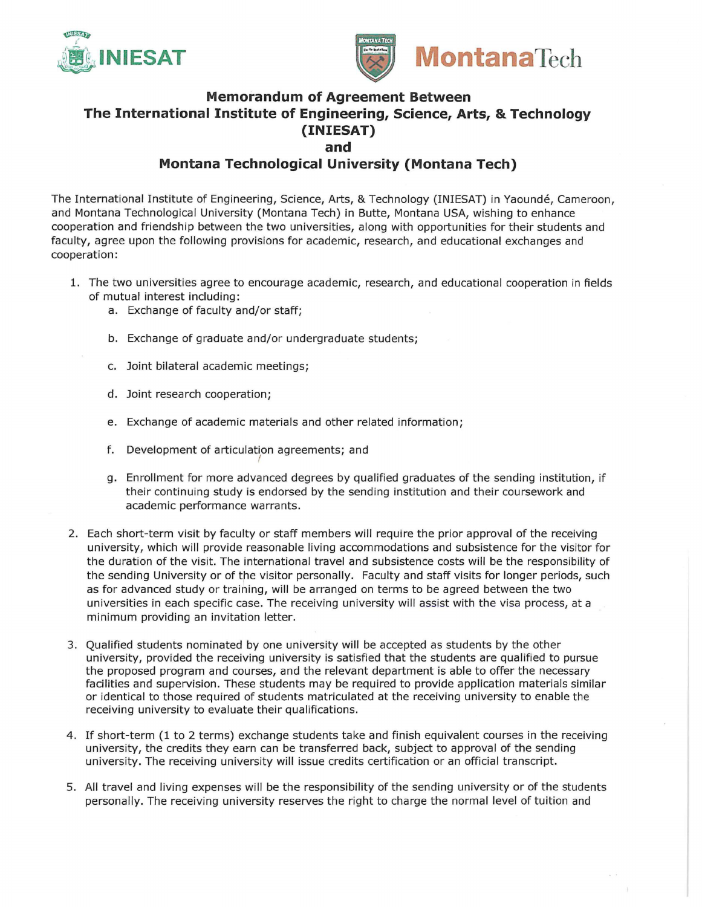



## **Memorandum of Agreement Between The International Institute of Engineering, Science, Arts, & Technology (INIESAT) and**

## **Montana Technological University (Montana Tech)**

The International Institute of Engineering, Science, Arts, & Technology (INIESAT) in Yaounde, Cameroon, and Montana Technological University (Montana Tech) in Butte, Montana USA, wishing to enhance cooperation and friendship between the two universities, along with opportunities for their students and faculty, agree upon the following provisions for academic, research, and educational exchanges and cooperation:

- 1. The two universities agree to encourage academic, research, and educational cooperation in fields of mutual interest including:
	- a. Exchange of faculty and/or staff;
	- b. Exchange of graduate and/or undergraduate students;
	- c. Joint bilateral academic meetings;
	- d. Joint research cooperation;
	- e. Exchange of academic materials and other related information;
	- f. Development of articulation agreements; and *(*
	- g. Enrollment for more advanced degrees by qualified graduates of the sending institution, if their continuing study is endorsed by the sending institution and their coursework and academic performance warrants .
- 2. Each short-term visit by faculty or staff members will require the prior approval of the receiving university, which will provide reasonable living accommodations and subsistence for the visitor for the duration of the visit. The international travel and subsistence costs will be the responsibility of the sending University or of the visitor personally. Faculty and staff visits for longer periods, such as for advanced study or training, will be arranged on terms to be agreed between the two universities in each specific case. The receiving university will assist with the visa process, at a minimum providing an invitation letter.
- 3. Qualified students nominated by one university will be accepted as students by the other university, provided the receiving university is satisfied that the students are qualified to pursue the proposed program and courses, and the relevant department is able to offer the necessary facilities and supervision. These students may be required to provide application materials similar or identical to those required of students matriculated at the receiving university to enable the receiving university to evaluate their qualifications.
- 4. If short-term {l to 2 terms) exchange students take and finish equivalent courses in the receiving university, the credits they earn can be transferred back, subject to approval of the sending university. The receiving university will issue credits certification or an official transcript.
- 5. All travel and living expenses will be the responsibility of the sending university or of the students personally. The receiving university reserves the right to charge the normal level of tuition and